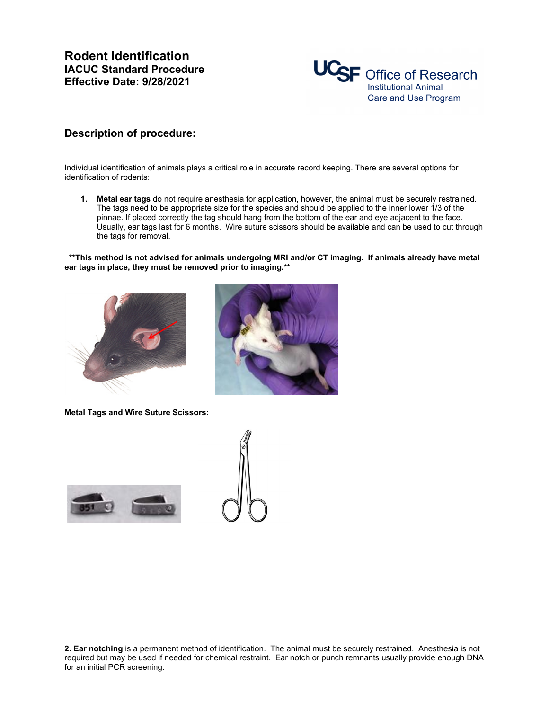

## **Description of procedure:**

Individual identification of animals plays a critical role in accurate record keeping. There are several options for identification of rodents:

**1. Metal ear tags** do not require anesthesia for application, however, the animal must be securely restrained. The tags need to be appropriate size for the species and should be applied to the inner lower 1/3 of the pinnae. If placed correctly the tag should hang from the bottom of the ear and eye adjacent to the face. Usually, ear tags last for 6 months. Wire suture scissors should be available and can be used to cut through the tags for removal.

 **\*\*This method is not advised for animals undergoing MRI and/or CT imaging. If animals already have metal ear tags in place, they must be removed prior to imaging.\*\***





**Metal Tags and Wire Suture Scissors:**